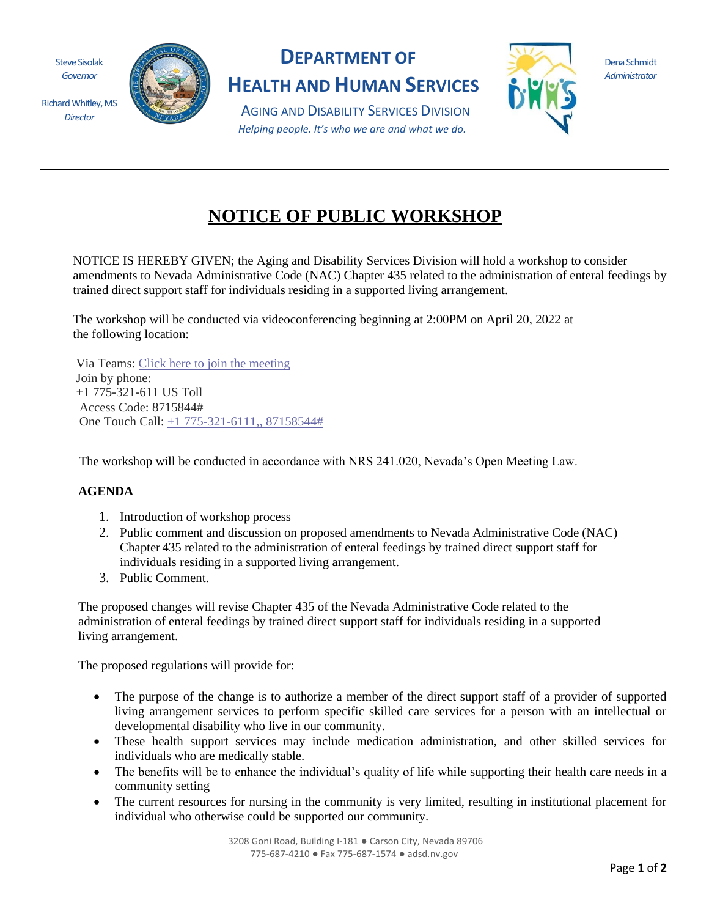Steve Sisolak *Governor*

Richard Whitley, MS *Director*



## **DEPARTMENT OF**

**HEALTH AND HUMAN SERVICES**

Dena Schmidt *Administrator*

AGING AND DISABILITY SERVICES DIVISION *Helping people. It's who we are and what we do.*

## **NOTICE OF PUBLIC WORKSHOP**

NOTICE IS HEREBY GIVEN; the Aging and Disability Services Division will hold a workshop to consider amendments to Nevada Administrative Code (NAC) Chapter 435 related to the administration of enteral feedings by trained direct support staff for individuals residing in a supported living arrangement.

The workshop will be conducted via videoconferencing beginning at 2:00PM on April 20, 2022 at the following location:

Via Teams: [Click here to join the meeting](https://teams.microsoft.com/l/meetup-join/19%3ameeting_NTJhODA5YjUtNzk0NC00NDk1LTg3MWEtNWMyNzAyMDJmYWM5%40thread.v2/0?context=%7b%22Tid%22%3a%22e4a340e6-b89e-4e68-8eaa-1544d2703980%22%2c%22Oid%22%3a%22cd9a316f-fed9-4353-b474-53719a8bb75c%22%7d)  Join by phone: +1 775-321-611 US Toll Access Code: 8715844# One Touch Call: [+1 775-321-6111,, 87158544#](tel:+17753216111,,87158544# ) 

The workshop will be conducted in accordance with NRS 241.020, Nevada's Open Meeting Law.

## **AGENDA**

- 1. Introduction of workshop process
- 2. Public comment and discussion on proposed amendments to Nevada Administrative Code (NAC) Chapter 435 related to the administration of enteral feedings by trained direct support staff for individuals residing in a supported living arrangement.
- 3. Public Comment.

The proposed changes will revise Chapter 435 of the Nevada Administrative Code related to the administration of enteral feedings by trained direct support staff for individuals residing in a supported living arrangement.

The proposed regulations will provide for:

- The purpose of the change is to authorize a member of the direct support staff of a provider of supported living arrangement services to perform specific skilled care services for a person with an intellectual or developmental disability who live in our community.
- These health support services may include medication administration, and other skilled services for individuals who are medically stable.
- The benefits will be to enhance the individual's quality of life while supporting their health care needs in a community setting
- The current resources for nursing in the community is very limited, resulting in institutional placement for individual who otherwise could be supported our community.